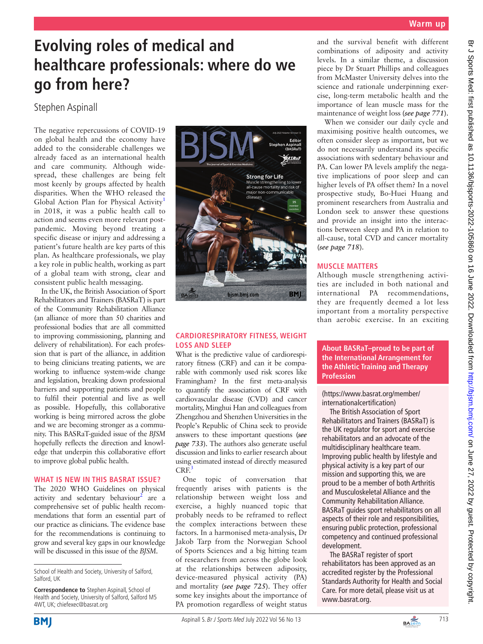# **Evolving roles of medical and healthcare professionals: where do we go from here?**

## Stephen Aspinall

The negative repercussions of COVID-19 on global health and the economy have added to the considerable challenges we already faced as an international health and care community. Although widespread, these challenges are being felt most keenly by groups affected by health disparities. When the WHO released the Global Action Plan for Physical Activity<sup>[1](#page-1-0)</sup> in 2018, it was a public health call to action and seems even more relevant postpandemic. Moving beyond treating a specific disease or injury and addressing a patient's future health are key parts of this plan. As healthcare professionals, we play a key role in public health, working as part of a global team with strong, clear and consistent public health messaging.

In the UK, the British Association of Sport Rehabilitators and Trainers (BASRaT) is part of the Community Rehabilitation Alliance (an alliance of more than 50 charities and professional bodies that are all committed to improving commissioning, planning and delivery of rehabilitation). For each profession that is part of the alliance, in addition to being clinicians treating patients, we are working to influence system-wide change and legislation, breaking down professional barriers and supporting patients and people to fulfil their potential and live as well as possible. Hopefully, this collaborative working is being mirrored across the globe and we are becoming stronger as a community. This BASRaT-guided issue of the *BJSM* hopefully reflects the direction and knowledge that underpin this collaborative effort to improve global public health.

#### **WHAT IS NEW IN THIS BASRAT ISSUE?**

The 2020 WHO Guidelines on physical activity and sedentary behaviour<sup>[2](#page-1-1)</sup> are a comprehensive set of public health recommendations that form an essential part of our practice as clinicians. The evidence base for the recommendations is continuing to grow and several key gaps in our knowledge will be discussed in this issue of the *BJSM*.

**Correspondence to** Stephen Aspinall, School of Health and Society, University of Salford, Salford M5 4WT, UK; chiefexec@basrat.org



#### **CARDIORESPIRATORY FITNESS, WEIGHT LOSS AND SLEEP**

What is the predictive value of cardiorespiratory fitness (CRF) and can it be comparable with commonly used risk scores like Framingham? In the first meta-analysis to quantify the association of CRF with cardiovascular disease (CVD) and cancer mortality, Minghui Han and colleagues from Zhengzhou and Shenzhen Universities in the People's Republic of China seek to provide answers to these important questions (*see page 733*). The authors also generate useful discussion and links to earlier research about using estimated instead of directly measured  $CRF<sup>3</sup>$ 

One topic of conversation that frequently arises with patients is the relationship between weight loss and exercise, a highly nuanced topic that probably needs to be reframed to reflect the complex interactions between these factors. In a harmonised meta-analysis, Dr Jakob Tarp from the Norwegian School of Sports Sciences and a big hitting team of researchers from across the globe look at the relationships between adiposity, device-measured physical activity (PA) and mortality (*see page 725*). They offer some key insights about the importance of PA promotion regardless of weight status

and the survival benefit with different combinations of adiposity and activity levels. In a similar theme, a discussion piece by Dr Stuart Phillips and colleagues from McMaster University delves into the science and rationale underpinning exercise, long-term metabolic health and the importance of lean muscle mass for the maintenance of weight loss (*see page 771*).

When we consider our daily cycle and maximising positive health outcomes, we often consider sleep as important, but we do not necessarily understand its specific associations with sedentary behaviour and PA. Can lower PA levels amplify the negative implications of poor sleep and can higher levels of PA offset them? In a novel prospective study, Bo-Huei Huang and prominent researchers from Australia and London seek to answer these questions and provide an insight into the interactions between sleep and PA in relation to all-cause, total CVD and cancer mortality (*see page 718*).

### **MUSCLE MATTERS**

Although muscle strengthening activities are included in both national and international PA recommendations, they are frequently deemed a lot less important from a mortality perspective than aerobic exercise. In an exciting

**About BASRaT–proud to be part of the International Arrangement for the Athletic Training and Therapy Profession**

([https://www.basrat.org/member/](https://www.basrat.org/member/internationalcertification) [internationalcertification\)](https://www.basrat.org/member/internationalcertification)

The British Association of Sport Rehabilitators and Trainers (BASRaT) is the UK regulator for sport and exercise rehabilitators and an advocate of the multidisciplinary healthcare team. Improving public health by lifestyle and physical activity is a key part of our mission and supporting this, we are proud to be a member of both Arthritis and Musculoskeletal Alliance and the Community Rehabilitation Alliance. BASRaT guides sport rehabilitators on all aspects of their role and responsibilities, ensuring public protection, professional competency and continued professional development.

The BASRaT register of sport rehabilitators has been approved as an accredited register by the Professional Standards Authority for Health and Social Care. For more detail, please visit us at [www.basrat.org.](www.basrat.org)



School of Health and Society, University of Salford, Salford, UK